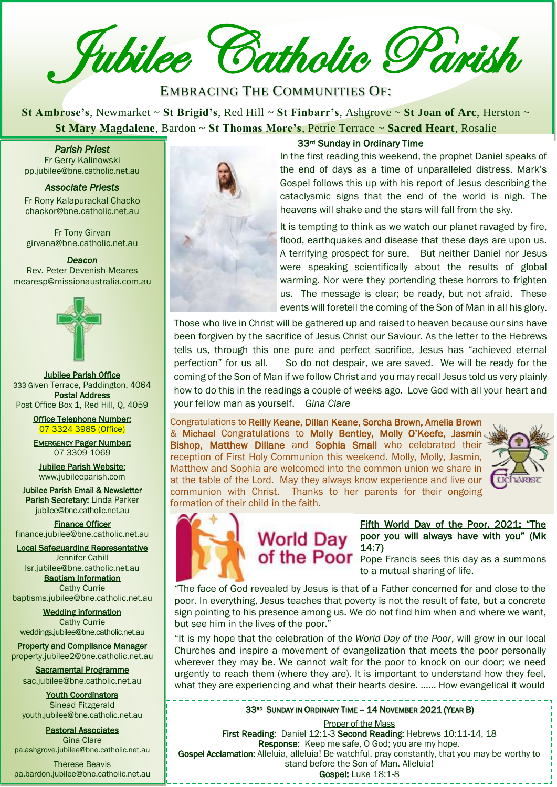Jubilee Catholic Parish

EMBRACING THE COMMUNITIES OF:

**St Ambrose's**, Newmarket ~ **St Brigid's**, Red Hill ~ **St Finbarr's**, Ashgrove ~ **St Joan of Arc**, Herston ~ **St Mary Magdalene**, Bardon ~ **St Thomas More's**, Petrie Terrace ~ **Sacred Heart**, Rosalie

*Parish Priest*  Fr Gerry Kalinowski pp.jubilee@bne.catholic.net.au

*Associate Priests*  Fr Rony Kalapurackal Chacko chackor@bne.catholic.net.au

Fr Tony Girvan girvana@bne.catholic.net.au

*Deacon*  Rev. Peter Devenish-Meares mearesp@missionaustralia.com.au



Jubilee Parish Office 333 Given Terrace, Paddington, 4064 Postal Address Post Office Box 1, Red Hill, Q, 4059

> Office Telephone Number: 07 3324 3985 (Office)

> EMERGENCY Pager Number: 07 3309 1069

Jubilee Parish Website: [www.jubileeparish.com](http://www.jubileeparish.com/)

Jubilee Parish Email & Newsletter Parish Secretary: Linda Parker [jubilee@bne.catholic.net.au](mailto:jubilee@bne.catholic.net.au)

Finance Officer [finance.jubilee@bne.catholic.net.au](mailto:finance.jubilee@bne.catholic.net.au)

Local Safeguarding Representative Jennifer Cahill

[lsr.jubilee@bne.catholic.net.au](mailto:lsr.jubilee@bne.catholic.net.au) **Baptism Information** Cathy Currie

[baptisms.jubilee@bne.catholic.net.au](mailto:baptisms.jubilee@bne.catholic.net.au)

Wedding information Cathy Currie [weddings.jubilee@bne.catholic.net.au](mailto:weddings.jubilee@bne.catholic.net.au)

Property and Compliance Manager property.jubilee2@bne.catholic.net.au

Sacramental Programme [sac.jubilee@bne.catholic.net.au](mailto:sac.jubilee@bne.catholic.net.au)

Youth Coordinators Sinead Fitzgerald [youth.jubilee@bne.catholic.net.au](mailto:youth.jubilee@bne.catholic.net.au)

Pastoral Associates Gina Clare [pa.ashgrove.jubilee@bne.catholic.net.au](mailto:pa.ashgrove.jubilee@bne.catholic.net.au)

Therese Beavis pa.bardon.jubilee@bne.catholic.net.au



#### 33rd Sunday in Ordinary Time

**[Cath](mailto:pp.jubilee@bne.catholic.net.au)ary Miguine, Bardon**<br> **Cathary Miguine, Bardon**<br> **Cathary Miguine Street Priest**<br>
Fr Gerry Kalinowski<br>
pp.jubilee@bne.catholic.net.au<br> **Catachysmic signs** that the end of the world is<br>
cataclysmic signs that the end o In the first reading this weekend, the prophet Daniel speaks of the end of days as a time of unparalleled distress. Mark's Gospel follows this up with his report of Jesus describing the cataclysmic signs that the end of the world is nigh. The heavens will shake and the stars will fall from the sky.

> It is tempting to think as we watch our planet ravaged by fire, flood, earthquakes and disease that these days are upon us. A terrifying prospect for sure. But neither Daniel nor Jesus were speaking scientifically about the results of global warming. Nor were they portending these horrors to frighten us. The message is clear; be ready, but not afraid. These events will foretell the coming of the Son of Man in all his glory.

Those who live in Christ will be gathered up and raised to heaven because our sins have been forgiven by the sacrifice of Jesus Christ our Saviour. As the letter to the Hebrews tells us, through this one pure and perfect sacrifice, Jesus has "achieved eternal perfection" for us all. So do not despair, we are saved. We will be ready for the coming of the Son of Man if we follow Christ and you may recall Jesus told us very plainly how to do this in the readings a couple of weeks ago. Love God with all your heart and your fellow man as yourself. *Gina Clare*

Congratulations to Reilly Keane, Dillan Keane, Sorcha Brown, Amelia Brown & Michael Congratulations to Molly Bentley, Molly O'Keefe, Jasmin. Bishop, Matthew Dillane and Sophia Small who celebrated their reception of First Holy Communion this weekend. Molly, Molly, Jasmin, Matthew and Sophia are welcomed into the common union we share in at the table of the Lord. May they always know experience and live our communion with Christ. Thanks to her parents for their ongoing formation of their child in the faith.





#### [Fifth World Day of the Poor, 2021: "The](https://www.vatican.va/content/francesco/en/messages/poveri/documents/20210613-messaggio-v-giornatamondiale-poveri-2021.html)  World Day poor you will always have with you" (Mk [14:7\)](https://www.vatican.va/content/francesco/en/messages/poveri/documents/20210613-messaggio-v-giornatamondiale-poveri-2021.html)

of the Poor Pope Francis sees this day as a summons to a mutual sharing of life.

"The face of God revealed by Jesus is that of a Father concerned for and close to the poor. In everything, Jesus teaches that poverty is not the result of fate, but a concrete sign pointing to his presence among us. We do not find him when and where we want, but see him in the lives of the poor."

"It is my hope that the celebration of the *World Day of the Poor*, will grow in our local Churches and inspire a movement of evangelization that meets the poor personally wherever they may be. We cannot wait for the poor to knock on our door; we need urgently to reach them (where they are). It is important to understand how they feel, what they are experiencing and what their hearts desire. …… How evangelical it would

#### 33RD SUNDAY IN ORDINARY TIME - 14 NOVEMBER 2021 (YEAR B)

Proper of the Mass First Reading: Daniel 12:1-3 Second Reading: Hebrews 10:11-14, 18 Response: Keep me safe, O God; you are my hope. Gospel Acclamation: Alleluia, alleluia! Be watchful, pray constantly, that you may be worthy to stand before the Son of Man. Alleluia! Gospel: Luke 18:1-8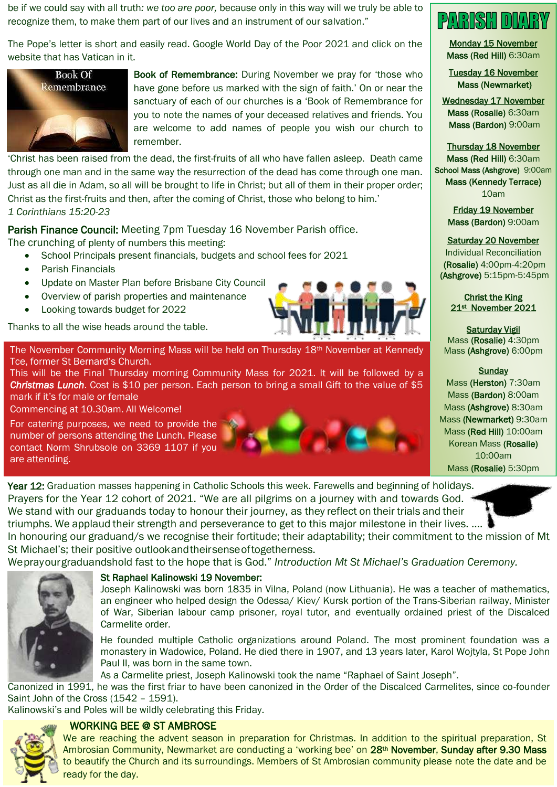be if we could say with all truth*: we too are poor,* because only in this way will we truly be able to recognize them, to make them part of our lives and an instrument of our salvation."

The Pope's letter is short and easily read. Google World Day of the Poor 2021 and click on the website that has Vatican in it.



Book of Remembrance: During November we pray for 'those who have gone before us marked with the sign of faith.' On or near the sanctuary of each of our churches is a 'Book of Remembrance for you to note the names of your deceased relatives and friends. You are welcome to add names of people you wish our church to remember.

'Christ has been raised from the dead, the first-fruits of all who have fallen asleep. Death came through one man and in the same way the resurrection of the dead has come through one man. Just as all die in Adam, so all will be brought to life in Christ; but all of them in their proper order; Christ as the first-fruits and then, after the coming of Christ, those who belong to him.' *1 Corinthians 15:20-23*

Parish Finance Council: Meeting 7pm Tuesday 16 November Parish office.

The crunching of plenty of numbers this meeting:

- School Principals present financials, budgets and school fees for 2021
- Parish Financials
- Update on Master Plan before Brisbane City Council
- Overview of parish properties and maintenance
- Looking towards budget for 2022

Thanks to all the wise heads around the table.



The November Community Morning Mass will be held on Thursday 18<sup>th</sup> November at Kennedy Tce, former St Bernard's Church.

This will be the Final Thursday morning Community Mass for 2021. It will be followed by a *Christmas Lunch*. Cost is \$10 per person. Each person to bring a small Gift to the value of \$5 mark if it's for male or female

Commencing at 10.30am. All Welcome!

For catering purposes, we need to provide the number of persons attending the Lunch. Please contact Norm Shrubsole on 3369 1107 if you are attending.



Year 12: Graduation masses happening in Catholic Schools this week. Farewells and beginning of holidays. Prayers for the Year 12 cohort of 2021. "We are all pilgrims on a journey with and towards God. We stand with our graduands today to honour their journey, as they reflect on their trials and their triumphs. We applaud their strength and perseverance to get to this major milestone in their lives. …. In honouring our graduand/s we recognise their fortitude; their adaptability; their commitment to the mission of Mt

Weprayourgraduandshold fast to the hope that is God." *Introduction Mt St Michael's Graduation Ceremony.*



## St Raphael Kalinowski 19 November:

St Michael's; their positive outlookandtheirsenseoftogetherness.

Joseph Kalinowski was born 1835 in Vilna, Poland (now Lithuania). He was a teacher of mathematics, an engineer who helped design the Odessa/ Kiev/ Kursk portion of the Trans-Siberian railway, Minister of War, Siberian labour camp prisoner, royal tutor, and eventually ordained priest of the Discalced Carmelite order.

He founded multiple Catholic organizations around Poland. The most prominent foundation was a monastery in Wadowice, Poland. He died there in 1907, and 13 years later, Karol Wojtyla, St Pope John Paul II, was born in the same town.

As a Carmelite priest, Joseph Kalinowski took the name "Raphael of Saint Joseph".

Canonized in 1991, he was the first friar to have been canonized in the Order of the Discalced Carmelites, since co-founder Saint John of the Cross (1542 – 1591).

Kalinowski's and Poles will be wildly celebrating this Friday.

## WORKING BEE @ ST AMBROSE



We are reaching the advent season in preparation for Christmas. In addition to the spiritual preparation, St Ambrosian Community, Newmarket are conducting a 'working bee' on 28<sup>th</sup> November, Sunday after 9.30 Mass to beautify the Church and its surroundings. Members of St Ambrosian community please note the date and be ready for the day.



Monday 15 November Mass (Red Hill) 6:30am

Tuesday 16 November Mass (Newmarket)

Wednesday 17 November Mass (Rosalie) 6:30am Mass (Bardon) 9:00am

Thursday 18 November Mass (Red Hill) 6:30am School Mass (Ashgrove) 9:00am Mass (Kennedy Terrace) 10am

> Friday 19 November Mass (Bardon) 9:00am

## Saturday 20 November

Individual Reconciliation (Rosalie) 4:00pm-4:20pm (Ashgrove) 5:15pm-5:45pm

#### Christ the King 21st November 2021

Saturday Vigil Mass (Rosalie) 4:30pm Mass (Ashgrove) 6:00pm

#### **Sunday**

Mass (Herston) 7:30am Mass (Bardon) 8:00am Mass (Ashgrove) 8:30am Mass (Newmarket) 9:30am Mass (Red Hill) 10:00am Korean Mass (Rosalie) 10:00am Mass (Rosalie) 5:30pm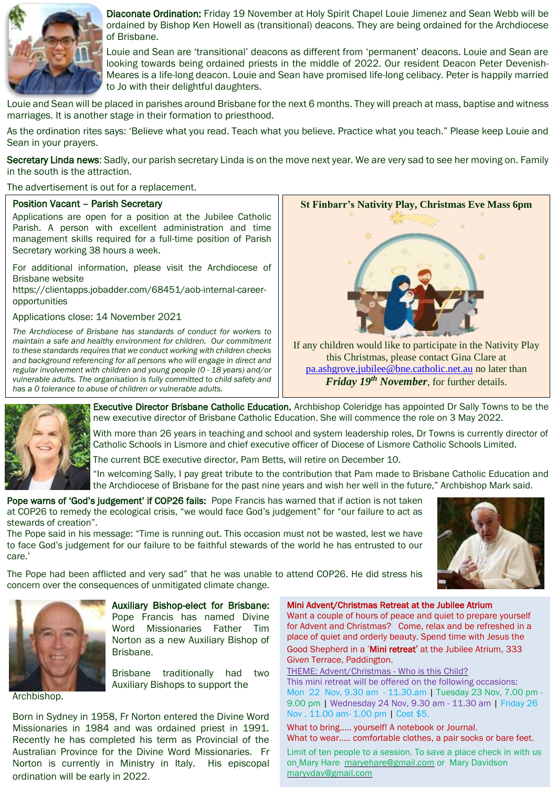

Diaconate Ordination: Friday 19 November at Holy Spirit Chapel Louie Jimenez and Sean Webb will be ordained by Bishop Ken Howell as (transitional) deacons. They are being ordained for the Archdiocese of Brisbane.

Louie and Sean are 'transitional' deacons as different from 'permanent' deacons. Louie and Sean are looking towards being ordained priests in the middle of 2022. Our resident Deacon Peter Devenish-Meares is a life-long deacon. Louie and Sean have promised life-long celibacy. Peter is happily married to Jo with their delightful daughters.

Louie and Sean will be placed in parishes around Brisbane for the next 6 months. They will preach at mass, baptise and witness marriages. It is another stage in their formation to priesthood.

As the ordination rites says: 'Believe what you read. Teach what you believe. Practice what you teach." Please keep Louie and Sean in your prayers.

Secretary Linda news: Sadly, our parish secretary Linda is on the move next year. We are very sad to see her moving on. Family in the south is the attraction.

The advertisement is out for a replacement.

#### Position Vacant – Parish Secretary

Applications are open for a position at the Jubilee Catholic Parish. A person with excellent administration and time management skills required for a full-time position of Parish Secretary working 38 hours a week.

For additional information, please visit the Archdiocese of Brisbane website

https://clientapps.jobadder.com/68451/aob-internal-careeropportunities

Applications close: 14 November 2021

*The Archdiocese of Brisbane has standards of conduct for workers to maintain a safe and healthy environment for children. Our commitment to these standards requires that we conduct working with children checks and background referencing for all persons who will engage in direct and regular involvement with children and young people (0 - 18 years) and/or vulnerable adults. The organisation is fully committed to child safety and has a 0 tolerance to abuse of children or vulnerable adults.*



[pa.ashgrove.jubilee@bne.catholic.net.au](mailto:pa.ashgrove.jubilee@bne.catholic.net.au) no later than *Friday 19th November*, for further details.



Executive Director Brisbane Catholic Education. Archbishop Coleridge has appointed Dr Sally Towns to be the new executive director of Brisbane Catholic Education. She will commence the role on 3 May 2022.

With more than 26 years in teaching and school and system leadership roles, Dr Towns is currently director of Catholic Schools in Lismore and chief executive officer of Diocese of Lismore Catholic Schools Limited.

The current BCE executive director, Pam Betts, will retire on December 10.

"In welcoming Sally, I pay great tribute to the contribution that Pam made to Brisbane Catholic Education and the Archdiocese of Brisbane for the past nine years and wish her well in the future," Archbishop Mark said.

Pope warns of 'God's judgement' if COP26 fails: Pope Francis has warned that if action is not taken at COP26 to remedy the ecological crisis, "we would face God's judgement" for "our failure to act as stewards of creation".

The Pope said in his message: "Time is running out. This occasion must not be wasted, lest we have to face God's judgement for our failure to be faithful stewards of the world he has entrusted to our care.'



The Pope had been afflicted and very sad" that he was unable to attend COP26. He did stress his concern over the consequences of unmitigated climate change.



Auxiliary Bishop-elect for Brisbane: Pope Francis has named Divine Word Missionaries Father Tim Norton as a new Auxiliary Bishop of Brisbane.

Brisbane traditionally had two Auxiliary Bishops to support the

Archbishop.

Born in Sydney in 1958, Fr Norton entered the Divine Word Missionaries in 1984 and was ordained priest in 1991. Recently he has completed his term as Provincial of the Australian Province for the Divine Word Missionaries. Fr Norton is currently in Ministry in Italy. His episcopal ordination will be early in 2022.

Mini Advent/Christmas Retreat at the Jubilee Atrium

Want a couple of hours of peace and quiet to prepare yourself for Advent and Christmas? Come, relax and be refreshed in a place of quiet and orderly beauty. Spend time with Jesus the Good Shepherd in a 'Mini retreat' at the Jubilee Atrium, 333 Given Terrace, Paddington.

THEME: Advent/Christmas - Who is this Child? This mini retreat will be offered on the following occasions: Mon 22 Nov, 9.30 am - 11.30.am | Tuesday 23 Nov, 7.00 pm - 9.00 pm | Wednesday 24 Nov, 9.30 am - 11.30 am | Friday 26 Nov , 11.00 am- 1.00 pm | Cost \$5.

What to bring….. yourself! A notebook or Journal. What to wear….. comfortable clothes, a pair socks or bare feet.

Limit of ten people to a session. To save a place check in with us on Mary Hare [maryehare@gmail.com](mailto:maryehare@gmail.com) or Mary Davidson maryvdav@gmail.com